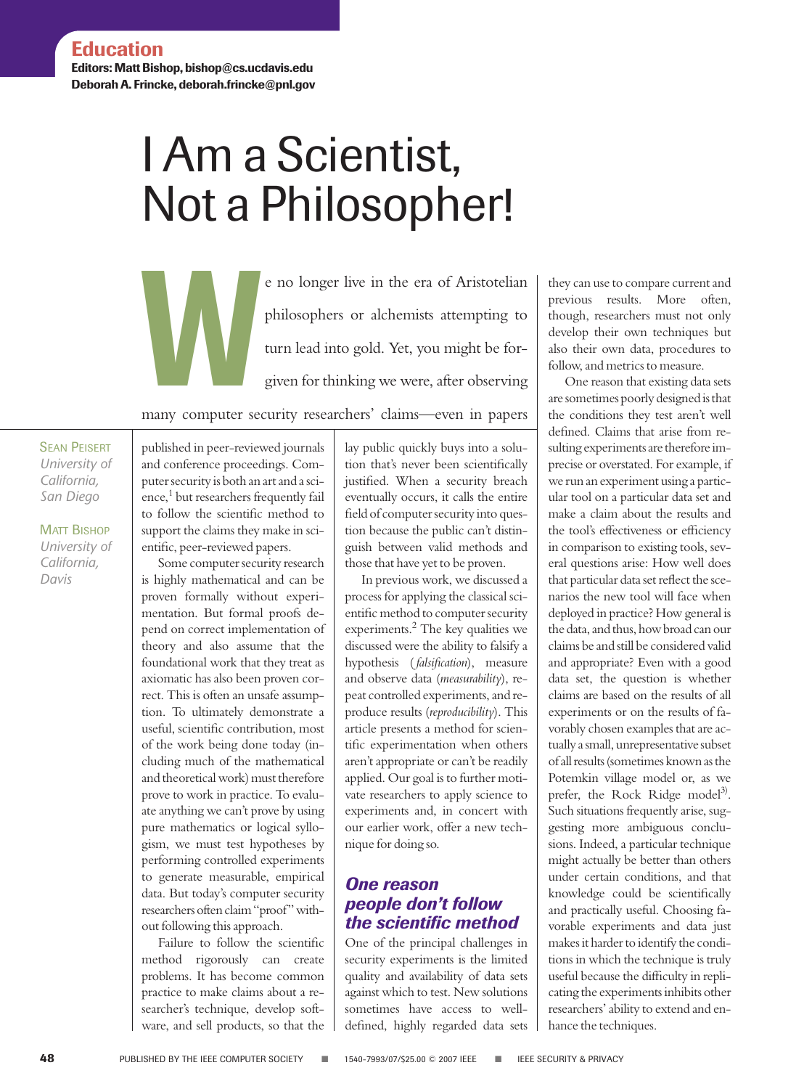**Editors: Matt Bishop, bishop@cs.ucdavis.edu Deborah A. Frincke, deborah.frincke@pnl.gov**

# I Am a Scientist, Not a Philosopher!

E no longer live in the era of Aristotelian<br>philosophers or alchemists attempting to<br>turn lead into gold. Yet, you might be for-<br>given for thinking we were, after observing<br>many computer security recenchere' claims—even in philosophers or alchemists attempting to turn lead into gold. Yet, you might be forgiven for thinking we were, after observing

many computer security researchers' claims—even in papers

**SEAN PEISERT** *University of California, San Diego*

MATT BISHOP *University of California, Davis*

published in peer-reviewed journals and conference proceedings. Computer security is both an art and a science,<sup>1</sup> but researchers frequently fail to follow the scientific method to support the claims they make in scientific, peer-reviewed papers.

Some computer security research is highly mathematical and can be proven formally without experimentation. But formal proofs depend on correct implementation of theory and also assume that the foundational work that they treat as axiomatic has also been proven correct. This is often an unsafe assumption. To ultimately demonstrate a useful, scientific contribution, most of the work being done today (including much of the mathematical and theoretical work) must therefore prove to work in practice. To evaluate anything we can't prove by using pure mathematics or logical syllogism, we must test hypotheses by performing controlled experiments to generate measurable, empirical data. But today's computer security researchers often claim "proof" without following this approach.

Failure to follow the scientific method rigorously can create problems. It has become common practice to make claims about a researcher's technique, develop software, and sell products, so that the lay public quickly buys into a solution that's never been scientifically justified. When a security breach eventually occurs, it calls the entire field of computer security into question because the public can't distinguish between valid methods and those that have yet to be proven.

In previous work, we discussed a process for applying the classical scientific method to computer security experiments. $^{2}$  The key qualities we discussed were the ability to falsify a hypothesis ( *falsification*), measure and observe data (*measurability*), repeat controlled experiments, and reproduce results (*reproducibility*). This article presents a method for scientific experimentation when others aren't appropriate or can't be readily applied. Our goal is to further motivate researchers to apply science to experiments and, in concert with our earlier work, offer a new technique for doing so.

## *One reason people don't follow the scientific method*

One of the principal challenges in security experiments is the limited quality and availability of data sets against which to test. New solutions sometimes have access to welldefined, highly regarded data sets they can use to compare current and previous results. More often, though, researchers must not only develop their own techniques but also their own data, procedures to follow, and metrics to measure.

One reason that existing data sets are sometimes poorly designed is that the conditions they test aren't well defined. Claims that arise from resulting experiments are therefore imprecise or overstated. For example, if we run an experiment using a particular tool on a particular data set and make a claim about the results and the tool's effectiveness or efficiency in comparison to existing tools, several questions arise: How well does that particular data set reflect the scenarios the new tool will face when deployed in practice? How general is the data, and thus, how broad can our claims be and still be considered valid and appropriate? Even with a good data set, the question is whether claims are based on the results of all experiments or on the results of favorably chosen examples that are actually a small, unrepresentative subset of all results (sometimes known as the Potemkin village model or, as we prefer, the Rock Ridge model<sup>3)</sup>. Such situations frequently arise, suggesting more ambiguous conclusions. Indeed, a particular technique might actually be better than others under certain conditions, and that knowledge could be scientifically and practically useful. Choosing favorable experiments and data just makes it harder to identify the conditions in which the technique is truly useful because the difficulty in replicating the experiments inhibits other researchers' ability to extend and enhance the techniques.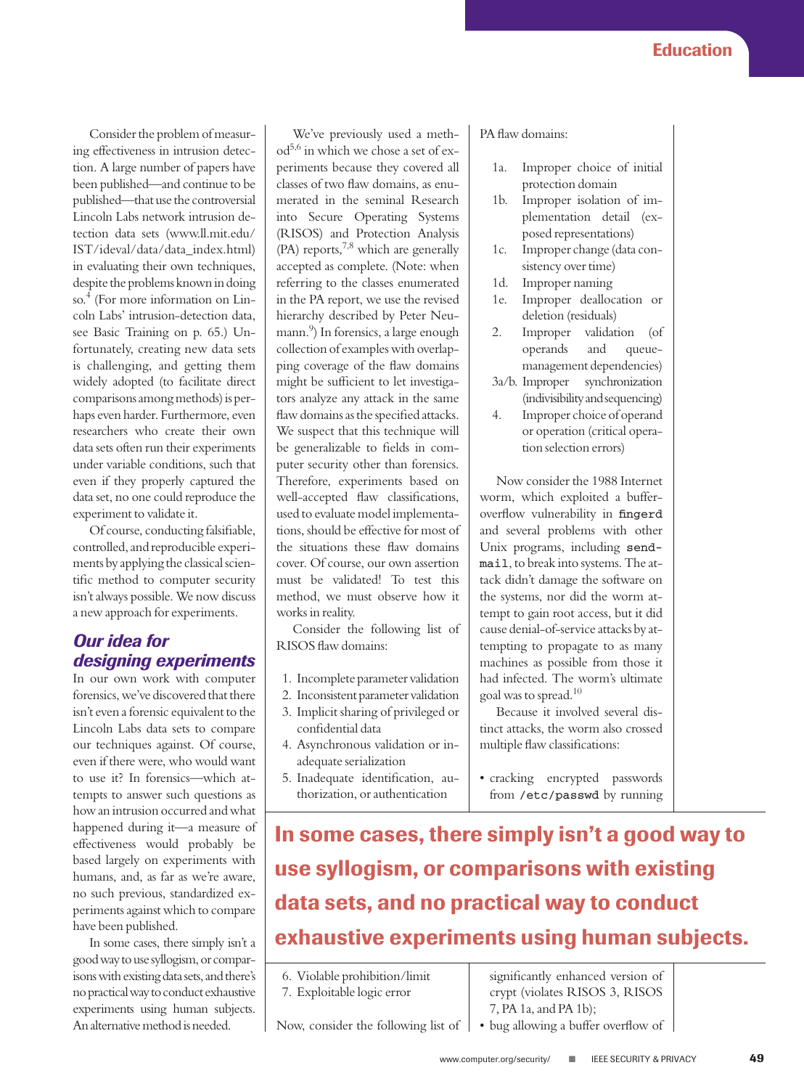Consider the problem of measuring effectiveness in intrusion detection. A large number of papers have been published—and continue to be published—that use the controversial Lincoln Labs network intrusion detection data sets (www.ll.mit.edu/ IST/ideval/data/data\_index.html) in evaluating their own techniques, despite the problems known in doing  $\mathrm{so}^4$  (For more information on Lincoln Labs' intrusion-detection data, see Basic Training on p. 65.) Unfortunately, creating new data sets is challenging, and getting them widely adopted (to facilitate direct comparisons among methods) is perhaps even harder. Furthermore, even researchers who create their own data sets often run their experiments under variable conditions, such that even if they properly captured the data set, no one could reproduce the experiment to validate it.

Of course, conducting falsifiable, controlled, and reproducible experiments by applying the classical scientific method to computer security isn't always possible. We now discuss a new approach for experiments.

## *Our idea for designing experiments*

In our own work with computer forensics, we've discovered that there isn't even a forensic equivalent to the Lincoln Labs data sets to compare our techniques against. Of course, even if there were, who would want to use it? In forensics—which attempts to answer such questions as how an intrusion occurred and what happened during it—a measure of effectiveness would probably be based largely on experiments with humans, and, as far as we're aware, no such previous, standardized experiments against which to compare have been published.

In some cases, there simply isn't a good way to use syllogism, or comparisons with existing data sets, and there's no practical way to conduct exhaustive experiments using human subjects. An alternative method is needed.

We've previously used a meth $od^{5,6}$  in which we chose a set of experiments because they covered all classes of two flaw domains, as enumerated in the seminal Research into Secure Operating Systems (RISOS) and Protection Analysis (PA) reports,  $7,8$  which are generally accepted as complete. (Note: when referring to the classes enumerated in the PA report, we use the revised hierarchy described by Peter Neumann.9 ) In forensics, a large enough collection of examples with overlapping coverage of the flaw domains might be sufficient to let investigators analyze any attack in the same flaw domains as the specified attacks. We suspect that this technique will be generalizable to fields in computer security other than forensics. Therefore, experiments based on well-accepted flaw classifications, used to evaluate model implementations, should be effective for most of the situations these flaw domains cover. Of course, our own assertion must be validated! To test this method, we must observe how it works in reality.

Consider the following list of RISOS flaw domains:

- 1. Incomplete parameter validation
- 2. Inconsistent parameter validation
- 3. Implicit sharing of privileged or confidential data
- 4. Asynchronous validation or inadequate serialization
- 5. Inadequate identification, authorization, or authentication

#### PA flaw domains:

- 1a. Improper choice of initial protection domain
- 1b. Improper isolation of implementation detail (exposed representations)
- 1c. Improper change (data consistency over time)
- 1d. Improper naming
- 1e. Improper deallocation or deletion (residuals)
- 2. Improper validation (of operands and queuemanagement dependencies)
- 3a/b. Improper synchronization (indivisibility and sequencing)
- 4. Improper choice of operand or operation (critical operation selection errors)

Now consider the 1988 Internet worm, which exploited a bufferoverflow vulnerability in fingerd and several problems with other Unix programs, including sendmail, to break into systems. The attack didn't damage the software on the systems, nor did the worm attempt to gain root access, but it did cause denial-of-service attacks by attempting to propagate to as many machines as possible from those it had infected. The worm's ultimate goal was to spread.<sup>10</sup>

Because it involved several distinct attacks, the worm also crossed multiple flaw classifications:

• cracking encrypted passwords from /etc/passwd by running

**In some cases, there simply isn't a good way to use syllogism, or comparisons with existing data sets, and no practical way to conduct exhaustive experiments using human subjects.**

6. Violable prohibition/limit

7. Exploitable logic error

Now, consider the following list of

significantly enhanced version of crypt (violates RISOS 3, RISOS 7, PA 1a, and PA 1b);

• bug allowing a buffer overflow of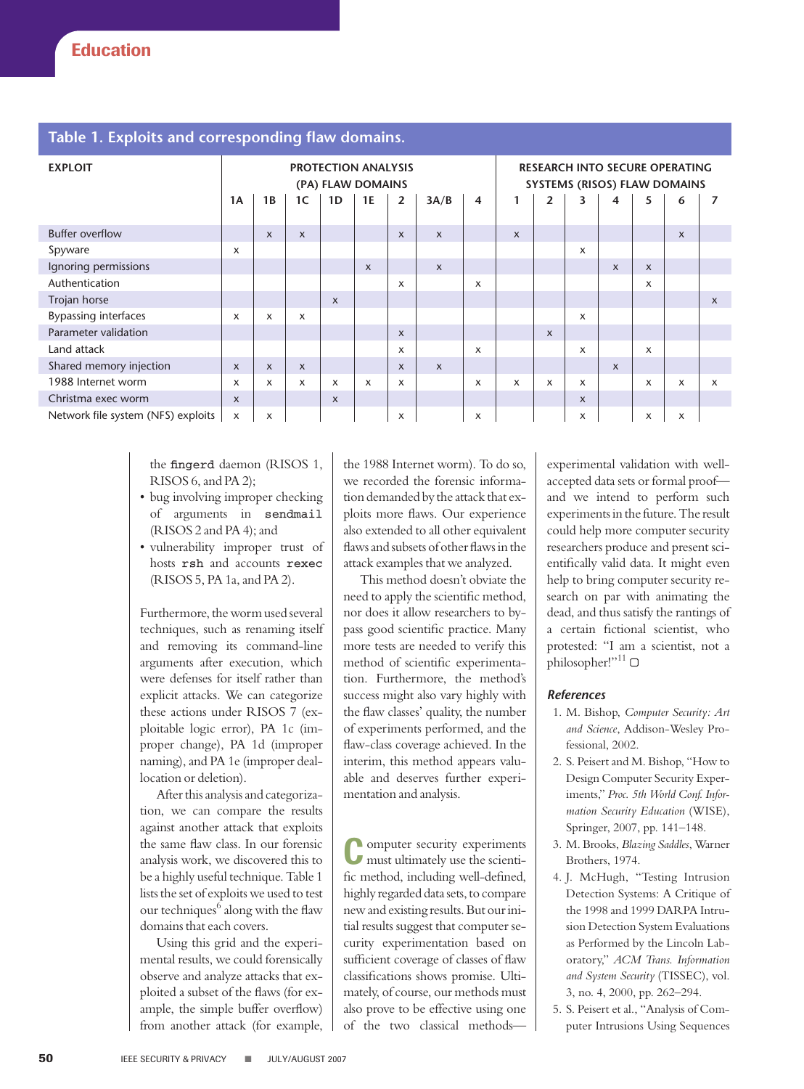### **Table 1. Exploits and corresponding flaw domains.**

| <b>EXPLOIT</b>                     | <b>PROTECTION ANALYSIS</b><br>(PA) FLAW DOMAINS |                           |                           |              |                           |                           |                           |   | <b>RESEARCH INTO SECURE OPERATING</b><br>SYSTEMS (RISOS) FLAW DOMAINS |                |                           |                           |                           |                           |                           |
|------------------------------------|-------------------------------------------------|---------------------------|---------------------------|--------------|---------------------------|---------------------------|---------------------------|---|-----------------------------------------------------------------------|----------------|---------------------------|---------------------------|---------------------------|---------------------------|---------------------------|
|                                    | <b>1A</b>                                       | 1B                        | 1C                        | 1D           | 1E                        | $\overline{2}$            | 3A/B                      | 4 | 1                                                                     | $\overline{2}$ | 3                         | 4                         | 5                         | 6                         | 7                         |
| <b>Buffer overflow</b>             |                                                 | $\boldsymbol{\mathsf{x}}$ | $\boldsymbol{\mathsf{x}}$ |              |                           | $\boldsymbol{\mathsf{x}}$ | $\times$                  |   | $\boldsymbol{\mathsf{x}}$                                             |                |                           |                           |                           | $\boldsymbol{\mathsf{x}}$ |                           |
| Spyware                            | X                                               |                           |                           |              |                           |                           |                           |   |                                                                       |                | $\times$                  |                           |                           |                           |                           |
| Ignoring permissions               |                                                 |                           |                           |              | $\boldsymbol{\mathsf{x}}$ |                           | $\boldsymbol{\mathsf{x}}$ |   |                                                                       |                |                           | $\boldsymbol{\mathsf{x}}$ | $\boldsymbol{\mathsf{x}}$ |                           |                           |
| Authentication                     |                                                 |                           |                           |              |                           | X                         |                           | X |                                                                       |                |                           |                           | $\times$                  |                           |                           |
| Trojan horse                       |                                                 |                           |                           | $\mathsf{x}$ |                           |                           |                           |   |                                                                       |                |                           |                           |                           |                           | $\boldsymbol{\mathsf{x}}$ |
| <b>Bypassing interfaces</b>        | X                                               | $\times$                  | X                         |              |                           |                           |                           |   |                                                                       |                | $\times$                  |                           |                           |                           |                           |
| Parameter validation               |                                                 |                           |                           |              |                           | $\boldsymbol{\mathsf{x}}$ |                           |   |                                                                       | $\mathsf{x}$   |                           |                           |                           |                           |                           |
| Land attack                        |                                                 |                           |                           |              |                           | X                         |                           | X |                                                                       |                | $\times$                  |                           | $\boldsymbol{\mathsf{x}}$ |                           |                           |
| Shared memory injection            | $\mathsf{x}$                                    | $\boldsymbol{\mathsf{x}}$ | $\mathsf{x}$              |              |                           | $\boldsymbol{\mathsf{x}}$ | $\mathsf{x}$              |   |                                                                       |                |                           | $\boldsymbol{\mathsf{x}}$ |                           |                           |                           |
| 1988 Internet worm                 | X                                               | $\times$                  | X                         | x            | X                         | X                         |                           | X | X                                                                     | X              | X                         |                           | $\boldsymbol{\mathsf{x}}$ | X                         | X                         |
| Christma exec worm                 | X                                               |                           |                           | $\mathsf{x}$ |                           |                           |                           |   |                                                                       |                | $\boldsymbol{\mathsf{x}}$ |                           |                           |                           |                           |
| Network file system (NFS) exploits | X                                               | X                         |                           |              |                           | X                         |                           | X |                                                                       |                | x                         |                           | $\boldsymbol{\mathsf{x}}$ | x                         |                           |

the fingerd daemon (RISOS 1, RISOS 6, and PA 2);

- bug involving improper checking of arguments in sendmail (RISOS 2 and PA 4); and
- vulnerability improper trust of hosts rsh and accounts rexec (RISOS 5, PA 1a, and PA 2).

Furthermore, the worm used several techniques, such as renaming itself and removing its command-line arguments after execution, which were defenses for itself rather than explicit attacks. We can categorize these actions under RISOS 7 (exploitable logic error), PA 1c (improper change), PA 1d (improper naming), and PA 1e (improper deallocation or deletion).

After this analysis and categorization, we can compare the results against another attack that exploits the same flaw class. In our forensic analysis work, we discovered this to be a highly useful technique. Table 1 lists the set of exploits we used to test our techniques $<sup>6</sup>$  along with the flaw</sup> domains that each covers.

Using this grid and the experimental results, we could forensically observe and analyze attacks that exploited a subset of the flaws (for example, the simple buffer overflow) from another attack (for example, the 1988 Internet worm). To do so, we recorded the forensic information demanded by the attack that exploits more flaws. Our experience also extended to all other equivalent flaws and subsets of other flaws in the attack examples that we analyzed.

This method doesn't obviate the need to apply the scientific method, nor does it allow researchers to bypass good scientific practice. Many more tests are needed to verify this method of scientific experimentation. Furthermore, the method's success might also vary highly with the flaw classes' quality, the number of experiments performed, and the flaw-class coverage achieved. In the interim, this method appears valuable and deserves further experimentation and analysis.

**C**omputer security experiments must ultimately use the scientific method, including well-defined, highly regarded data sets, to compare new and existing results. But our initial results suggest that computer security experimentation based on sufficient coverage of classes of flaw classifications shows promise. Ultimately, of course, our methods must also prove to be effective using one of the two classical methodsexperimental validation with wellaccepted data sets or formal proof and we intend to perform such experiments in the future. The result could help more computer security researchers produce and present scientifically valid data. It might even help to bring computer security research on par with animating the dead, and thus satisfy the rantings of a certain fictional scientist, who protested: "I am a scientist, not a philosopher!"<sup>11</sup>

#### *References*

- 1. M. Bishop, *Computer Security: Art and Science*, Addison-Wesley Professional, 2002.
- 2. S. Peisert and M. Bishop, "How to Design Computer Security Experiments," *Proc. 5th World Conf. Information Security Education* (WISE), Springer, 2007, pp. 141–148.
- 3. M. Brooks, *Blazing Saddles*, Warner Brothers, 1974.
- 4. J. McHugh, "Testing Intrusion Detection Systems: A Critique of the 1998 and 1999 DARPA Intrusion Detection System Evaluations as Performed by the Lincoln Laboratory," *ACM Trans. Information and System Security* (TISSEC), vol. 3, no. 4, 2000, pp. 262–294.
- 5. S. Peisert et al., "Analysis of Computer Intrusions Using Sequences